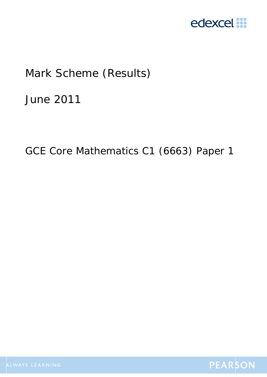

## Mark Scheme (Results)

June 2011

GCE Core Mathematics C1 (6663) Paper 1

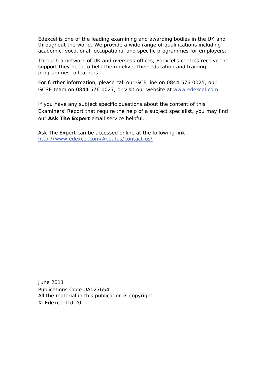Edexcel is one of the leading examining and awarding bodies in the UK and throughout the world. We provide a wide range of qualifications including academic, vocational, occupational and specific programmes for employers.

Through a network of UK and overseas offices, Edexcel's centres receive the support they need to help them deliver their education and training programmes to learners.

For further information, please call our GCE line on 0844 576 0025, our GCSE team on 0844 576 0027, or visit our website at www.edexcel.com.

If you have any subject specific questions about the content of this Examiners' Report that require the help of a subject specialist, you may find our **Ask The Expert** email service helpful.

Ask The Expert can be accessed online at the following link: http://www.edexcel.com/Aboutus/contact-us/

June 2011 Publications Code UA027654 All the material in this publication is copyright © Edexcel Ltd 2011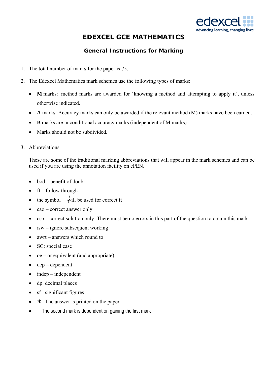

## **EDEXCEL GCE MATHEMATICS**

## **General Instructions for Marking**

- 1. The total number of marks for the paper is 75.
- 2. The Edexcel Mathematics mark schemes use the following types of marks:
	- **M** marks: method marks are awarded for 'knowing a method and attempting to apply it', unless otherwise indicated.
	- **A** marks: Accuracy marks can only be awarded if the relevant method (M) marks have been earned.
	- **B** marks are unconditional accuracy marks (independent of M marks)
	- Marks should not be subdivided.
- 3. Abbreviations

These are some of the traditional marking abbreviations that will appear in the mark schemes and can be used if you are using the annotation facility on ePEN.

- $\bullet$  bod benefit of doubt
- $\bullet$  ft follow through
- the symbol  $\hat{\text{will}}$  be used for correct ft
- cao correct answer only
- cso correct solution only. There must be no errors in this part of the question to obtain this mark
- $\bullet$  isw ignore subsequent working
- awrt answers which round to
- SC: special case
- oe or equivalent (and appropriate)
- $\bullet$  dep dependent
- $\bullet$  independent
- dp decimal places
- sf significant figures
- $\star$  The answer is printed on the paper
- $\bullet\quad \Box$  The second mark is dependent on gaining the first mark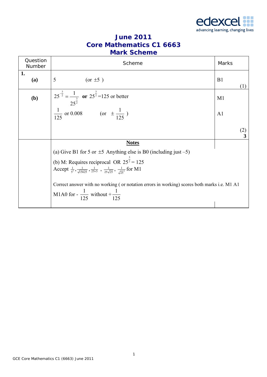

| <b>June 2011</b>                |
|---------------------------------|
| <b>Core Mathematics C1 6663</b> |
| <b>Mark Scheme</b>              |

| Question<br>Number | Scheme                                                                                                                                                                             | Marks          |
|--------------------|------------------------------------------------------------------------------------------------------------------------------------------------------------------------------------|----------------|
| 1.<br>(a)          | 5<br>(or $\pm 5$ )                                                                                                                                                                 | B1<br>(1)      |
| (b)                | $25^{\frac{3}{2}} = \frac{1}{25^{\frac{3}{2}}}$ or $25^{\frac{3}{2}} = 125$ or better<br>$\frac{1}{125}$ or 0.008 (or $\pm \frac{1}{125}$ )                                        | M1             |
|                    |                                                                                                                                                                                    | A <sub>1</sub> |
|                    |                                                                                                                                                                                    | (2)<br>3       |
|                    | <b>Notes</b>                                                                                                                                                                       |                |
|                    | (a) Give B1 for 5 or $\pm$ 5 Anything else is B0 (including just -5)                                                                                                               |                |
|                    | (b) M: Requires reciprocal OR $25^{\frac{3}{2}} = 125$<br>Accept $\frac{1}{5^3}, \frac{1}{\sqrt{15625}}, \frac{1}{25\times5}, \frac{1}{25\sqrt{25}}, \frac{1}{\sqrt{25^3}}$ for M1 |                |
|                    | Correct answer with no working (or notation errors in working) scores both marks i.e. M1 A1<br>M1A0 for - $\frac{1}{125}$ without + $\frac{1}{125}$                                |                |
|                    |                                                                                                                                                                                    |                |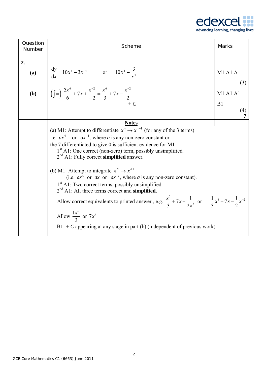

| Question<br>Number | Scheme                                                                                                                                                                                                                                                                                                                                                                                                                                                                                                                                                                                                                                                                                                                                                                                                                                                            | <b>Marks</b>                      |
|--------------------|-------------------------------------------------------------------------------------------------------------------------------------------------------------------------------------------------------------------------------------------------------------------------------------------------------------------------------------------------------------------------------------------------------------------------------------------------------------------------------------------------------------------------------------------------------------------------------------------------------------------------------------------------------------------------------------------------------------------------------------------------------------------------------------------------------------------------------------------------------------------|-----------------------------------|
| 2.<br>(a)          | $\frac{dy}{dx} = 10x^4 - 3x^{-4}$ or $10x^4 - \frac{3}{x^4}$                                                                                                                                                                                                                                                                                                                                                                                                                                                                                                                                                                                                                                                                                                                                                                                                      | M1 A1 A1<br>(3)                   |
| (b)                | $\left(\int$ = $\frac{2x^6}{6}$ + 7x + $\frac{x^{-2}}{-2}$ = $\frac{x^6}{3}$ + 7x - $\frac{x^{-2}}{2}$<br>$+ C$                                                                                                                                                                                                                                                                                                                                                                                                                                                                                                                                                                                                                                                                                                                                                   | <b>M1 A1 A1</b><br>B1<br>(4)<br>7 |
|                    | <b>Notes</b><br>(a) M1: Attempt to differentiate $x^n \to x^{n-1}$ (for any of the 3 terms)<br>i.e. $ax^4$ or $ax^{-4}$ , where a is any non-zero constant or<br>the 7 differentiated to give 0 is sufficient evidence for M1<br>$1st$ A1: One correct (non-zero) term, possibly unsimplified.<br>$2nd$ A1: Fully correct simplified answer.<br>(b) M1: Attempt to integrate $x^n \to x^{n+1}$<br>(i.e. $ax^6$ or $ax$ or $ax^{-2}$ , where a is any non-zero constant).<br>1 <sup>st</sup> A1: Two correct terms, possibly unsimplified.<br>$2nd$ A1: All three terms correct and <b>simplified</b> .<br>Allow correct equivalents to printed answer, e.g. $\frac{x^6}{3} + 7x - \frac{1}{2x^2}$ or $\frac{1}{3}x^6 + 7x - \frac{1}{2}x^{-2}$<br>Allow $\frac{1x^6}{3}$ or $7x^1$<br>$B1: + C$ appearing at any stage in part (b) (independent of previous work) |                                   |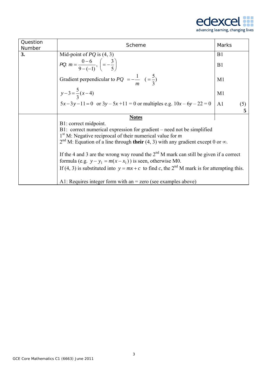

| Question<br>Number | Scheme                                                                                                                                                                                                                                                                                                                                                                                                                                                                                                                                     | Marks                 |
|--------------------|--------------------------------------------------------------------------------------------------------------------------------------------------------------------------------------------------------------------------------------------------------------------------------------------------------------------------------------------------------------------------------------------------------------------------------------------------------------------------------------------------------------------------------------------|-----------------------|
| 3.                 | Mid-point of $PQ$ is (4, 3)                                                                                                                                                                                                                                                                                                                                                                                                                                                                                                                | B <sub>1</sub>        |
|                    | PQ. $m = \frac{0-6}{9-(-1)}$ , $\left(=-\frac{3}{5}\right)$                                                                                                                                                                                                                                                                                                                                                                                                                                                                                | B1                    |
|                    | Gradient perpendicular to $PQ = -\frac{1}{m} \left( = \frac{5}{3} \right)$                                                                                                                                                                                                                                                                                                                                                                                                                                                                 | M1                    |
|                    | $y-3=\frac{5}{3}(x-4)$                                                                                                                                                                                                                                                                                                                                                                                                                                                                                                                     | M1                    |
|                    | $5x-3y-11=0$ or $3y-5x+11=0$ or multiples e.g. $10x-6y-22=0$                                                                                                                                                                                                                                                                                                                                                                                                                                                                               | A <sub>1</sub><br>(5) |
|                    | <b>Notes</b>                                                                                                                                                                                                                                                                                                                                                                                                                                                                                                                               |                       |
|                    | B1: correct midpoint.<br>B1: correct numerical expression for gradient – need not be simplified<br>$1st$ M: Negative reciprocal of their numerical value for <i>m</i><br>$2nd$ M: Equation of a line through their (4, 3) with any gradient except 0 or $\infty$ .<br>If the 4 and 3 are the wrong way round the $2nd$ M mark can still be given if a correct<br>formula (e.g. $y - y_1 = m(x - x_1)$ ) is seen, otherwise M0.<br>If (4, 3) is substituted into $y = mx + c$ to find c, the 2 <sup>nd</sup> M mark is for attempting this. |                       |
|                    | A1: Requires integer form with an $=$ zero (see examples above)                                                                                                                                                                                                                                                                                                                                                                                                                                                                            |                       |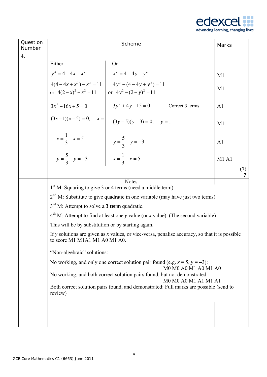

| Question<br>Number |                                                                                                                          | Scheme                                                                                         | Marks          |  |  |
|--------------------|--------------------------------------------------------------------------------------------------------------------------|------------------------------------------------------------------------------------------------|----------------|--|--|
| 4.                 |                                                                                                                          |                                                                                                |                |  |  |
|                    | Either                                                                                                                   | <b>Or</b>                                                                                      |                |  |  |
|                    | $y^2 = 4 - 4x + x^2$                                                                                                     | $x^2 = 4 - 4y + y^2$                                                                           | M1             |  |  |
|                    | or $4(2-x)^2 - x^2 = 11$ or $4y^2 - (2-y)^2 = 11$                                                                        | $4(4-4x+x^2)-x^2=11$<br>$4y^2-(4-4y+y^2)=11$                                                   | M <sub>1</sub> |  |  |
|                    | $3x^2-16x+5=0$                                                                                                           | $3y^2 + 4y - 15 = 0$<br>Correct 3 terms                                                        | A <sub>1</sub> |  |  |
|                    |                                                                                                                          | $(3x-1)(x-5) = 0$ , $x =  $ $(3y-5)(y+3) = 0$ , $y = $                                         | M <sub>1</sub> |  |  |
|                    | $x = \frac{1}{3}$ $x = 5$                                                                                                | $y = \frac{5}{3}$ $y = -3$                                                                     | A <sub>1</sub> |  |  |
|                    | $y = \frac{5}{3}$ $y = -3$                                                                                               | $x = \frac{1}{3} \quad x = 5$                                                                  | <b>M1 A1</b>   |  |  |
|                    |                                                                                                                          |                                                                                                | (7)            |  |  |
|                    |                                                                                                                          | <b>Notes</b><br>1 <sup>st</sup> M: Squaring to give 3 or 4 terms (need a middle term)          |                |  |  |
|                    | $2nd$ M: Substitute to give quadratic in one variable (may have just two terms)                                          |                                                                                                |                |  |  |
|                    | $3rd$ M: Attempt to solve a 3 term quadratic.                                                                            |                                                                                                |                |  |  |
|                    | $4th$ M: Attempt to find at least one y value (or x value). (The second variable)                                        |                                                                                                |                |  |  |
|                    | This will be by substitution or by starting again.                                                                       |                                                                                                |                |  |  |
|                    | to score M1 M1A1 M1 A0 M1 A0.                                                                                            | If y solutions are given as x values, or vice-versa, penalise accuracy, so that it is possible |                |  |  |
|                    | "Non-algebraic" solutions:                                                                                               |                                                                                                |                |  |  |
|                    |                                                                                                                          | No working, and only one correct solution pair found (e.g. $x = 5$ , $y = -3$ ):               |                |  |  |
|                    | M0 M0 A0 M1 A0 M1 A0<br>No working, and both correct solution pairs found, but not demonstrated:<br>M0 M0 A0 M1 A1 M1 A1 |                                                                                                |                |  |  |
|                    | review)                                                                                                                  | Both correct solution pairs found, and demonstrated: Full marks are possible (send to          |                |  |  |
|                    |                                                                                                                          |                                                                                                |                |  |  |
|                    |                                                                                                                          |                                                                                                |                |  |  |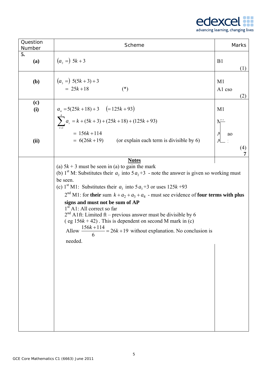

| Question<br>Number | Scheme                                                                                                                                                                                                                                                                                                                                                                                                                                                                                                                                                                                                                                                                  | Marks                           |
|--------------------|-------------------------------------------------------------------------------------------------------------------------------------------------------------------------------------------------------------------------------------------------------------------------------------------------------------------------------------------------------------------------------------------------------------------------------------------------------------------------------------------------------------------------------------------------------------------------------------------------------------------------------------------------------------------------|---------------------------------|
| 5.<br>(a)          | $(a, =) 5k + 3$                                                                                                                                                                                                                                                                                                                                                                                                                                                                                                                                                                                                                                                         | B <sub>1</sub><br>(1)           |
| (b)                | $(a_3 =) 5(5k + 3) + 3$<br>$= 25k + 18$<br>$(*)$                                                                                                                                                                                                                                                                                                                                                                                                                                                                                                                                                                                                                        | M <sub>1</sub><br>A1 cso<br>(2) |
| (c)<br>(i)         | $a_4 = 5(25k + 18) + 3$ $(= 125k + 93)$<br>$\sum_{r=1}^{4} a_r = k + (5k + 3) + (25k + 18) + (125k + 93)$                                                                                                                                                                                                                                                                                                                                                                                                                                                                                                                                                               | M <sub>1</sub>                  |
| (ii)               | $= 156k + 114$<br>$= 6(26k+19)$ (or explain each term is divisible by 6)                                                                                                                                                                                                                                                                                                                                                                                                                                                                                                                                                                                                | ao<br>(4)<br>7                  |
|                    | <b>Notes</b><br>(a) $5k + 3$ must be seen in (a) to gain the mark<br>(b) 1 <sup>st</sup> M: Substitutes their $a_2$ into $5a_2+3$ - note the answer is given so working must<br>be seen.<br>(c) 1 <sup>st</sup> M1: Substitutes their $a_3$ into $5a_3+3$ or uses $125k+93$<br>$2nd$ M1: for their sum $k + a_2 + a_3 + a_4$ - must see evidence of four terms with plus<br>signs and must not be sum of AP<br>$1st$ A1: All correct so far<br>$2nd$ A1ft: Limited ft – previous answer must be divisible by 6<br>(eg $156k + 42$ ). This is dependent on second M mark in (c)<br>Allow $\frac{156k+114}{6}$ = 26k +19 without explanation. No conclusion is<br>needed. |                                 |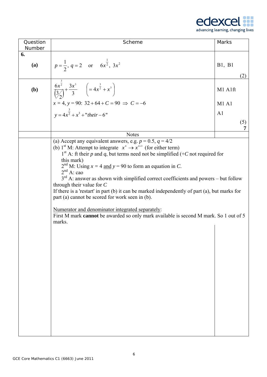

|  | advancing learning, changing lives |  |  |  |  |  |
|--|------------------------------------|--|--|--|--|--|
|--|------------------------------------|--|--|--|--|--|

| Question<br>Number | Scheme                                                                                                               | <b>Marks</b>          |
|--------------------|----------------------------------------------------------------------------------------------------------------------|-----------------------|
| 6.                 |                                                                                                                      |                       |
| (a)                | $p = \frac{1}{2}$ , $q = 2$ or $6x^{\frac{1}{2}}$ , $3x^2$                                                           | <b>B1</b> , <b>B1</b> |
| (b)                | $rac{6x^{\frac{3}{2}}}{\left(3\right)} + \frac{3x^3}{3}$ $\left(=4x^{\frac{3}{2}} + x^3\right)$                      | (2)<br>M1 A1ft        |
|                    |                                                                                                                      | M1A1                  |
|                    | $x = 4$ , $y = 90$ : $32 + 64 + C = 90 \Rightarrow C = -6$<br>$y = 4x^{\frac{3}{2}} + x^3 + "their - 6"$             | A <sub>1</sub>        |
|                    |                                                                                                                      | (5)                   |
|                    | <b>Notes</b>                                                                                                         |                       |
|                    | (a) Accept any equivalent answers, e.g. $p = 0.5$ , $q = 4/2$                                                        |                       |
|                    | (b) 1 <sup>st</sup> M: Attempt to integrate $x^n \to x^{n+1}$ (for either term)                                      |                       |
|                    | 1 <sup>st</sup> A: ft their p and q, but terms need not be simplified (+C not required for<br>this mark)             |                       |
|                    | $2nd$ M: Using $x = 4$ and $y = 90$ to form an equation in C.                                                        |                       |
|                    | $2nd$ A: cao                                                                                                         |                       |
|                    | $3rd$ A: answer as shown with simplified correct coefficients and powers – but follow<br>through their value for $C$ |                       |
|                    | If there is a 'restart' in part $(b)$ it can be marked independently of part $(a)$ , but marks for                   |                       |
|                    | part (a) cannot be scored for work seen in (b).                                                                      |                       |
|                    | Numerator and denominator integrated separately:                                                                     |                       |
|                    | First M mark cannot be awarded so only mark available is second M mark. So 1 out of 5<br>marks.                      |                       |
|                    |                                                                                                                      |                       |
|                    |                                                                                                                      |                       |
|                    |                                                                                                                      |                       |
|                    |                                                                                                                      |                       |
|                    |                                                                                                                      |                       |
|                    |                                                                                                                      |                       |
|                    |                                                                                                                      |                       |
|                    |                                                                                                                      |                       |
|                    |                                                                                                                      |                       |
|                    |                                                                                                                      |                       |
|                    |                                                                                                                      |                       |
|                    |                                                                                                                      |                       |
|                    |                                                                                                                      |                       |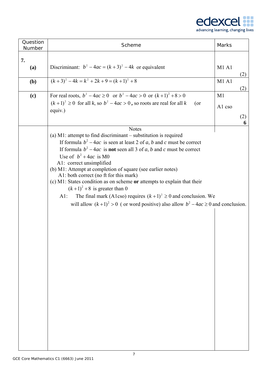

| Question<br>Number | Scheme                                                                                                                                                                                                                                                                                                                                                                                                                                                                                                                                                                                                                                                                                                    | Marks                    |
|--------------------|-----------------------------------------------------------------------------------------------------------------------------------------------------------------------------------------------------------------------------------------------------------------------------------------------------------------------------------------------------------------------------------------------------------------------------------------------------------------------------------------------------------------------------------------------------------------------------------------------------------------------------------------------------------------------------------------------------------|--------------------------|
| 7.                 |                                                                                                                                                                                                                                                                                                                                                                                                                                                                                                                                                                                                                                                                                                           |                          |
| (a)                | Discriminant: $b^2-4ac = (k+3)^2-4k$ or equivalent                                                                                                                                                                                                                                                                                                                                                                                                                                                                                                                                                                                                                                                        | M1A1<br>(2)              |
| (b)                | $(k+3)^{2} - 4k = k^{2} + 2k + 9 = (k+1)^{2} + 8$                                                                                                                                                                                                                                                                                                                                                                                                                                                                                                                                                                                                                                                         | <b>M1 A1</b><br>(2)      |
| (c)                | For real roots, $b^2 - 4ac \ge 0$ or $b^2 - 4ac > 0$ or $(k+1)^2 + 8 > 0$<br>$(k+1)^2 \ge 0$ for all k, so $b^2 - 4ac > 0$ , so roots are real for all k<br>$($ or<br>equiv.)                                                                                                                                                                                                                                                                                                                                                                                                                                                                                                                             | M1<br>A1 cso<br>(2)<br>6 |
|                    | <b>Notes</b><br>(a) $M1$ : attempt to find discriminant – substitution is required<br>If formula $b^2 - 4ac$ is seen at least 2 of a, b and c must be correct<br>If formula $b^2 - 4ac$ is <b>not</b> seen all 3 of a, b and c must be correct<br>Use of $b^2 + 4ac$ is M0<br>A1: correct unsimplified<br>(b) M1: Attempt at completion of square (see earlier notes)<br>A1: both correct (no ft for this mark)<br>(c) M1: States condition as on scheme or attempts to explain that their<br>$(k+1)^2 + 8$ is greater than 0<br>The final mark (A1cso) requires $(k+1)^2 \ge 0$ and conclusion. We<br>$A1$ :<br>will allow $(k+1)^2 > 0$ (or word positive) also allow $b^2 - 4ac \ge 0$ and conclusion. |                          |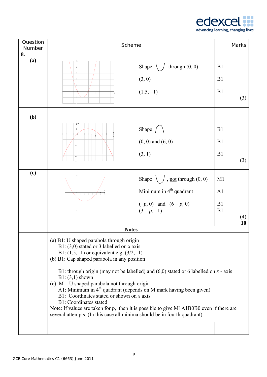

| Question<br>Number |                                                                                                                                                                                                                                                                                                                                            | Scheme                                                                                                                                                                                                                                                                                                                                 | Marks                 |
|--------------------|--------------------------------------------------------------------------------------------------------------------------------------------------------------------------------------------------------------------------------------------------------------------------------------------------------------------------------------------|----------------------------------------------------------------------------------------------------------------------------------------------------------------------------------------------------------------------------------------------------------------------------------------------------------------------------------------|-----------------------|
| 8.<br>(a)          |                                                                                                                                                                                                                                                                                                                                            | through $(0, 0)$<br>Shape<br>(3, 0)<br>$(1.5, -1)$                                                                                                                                                                                                                                                                                     | B1<br>B1<br>B1<br>(3) |
|                    |                                                                                                                                                                                                                                                                                                                                            |                                                                                                                                                                                                                                                                                                                                        |                       |
| (b)                |                                                                                                                                                                                                                                                                                                                                            | Shape $\left( \begin{array}{c} \searrow \\ \searrow \end{array} \right)$                                                                                                                                                                                                                                                               | B1                    |
|                    |                                                                                                                                                                                                                                                                                                                                            | $(0, 0)$ and $(6, 0)$                                                                                                                                                                                                                                                                                                                  | B1                    |
|                    |                                                                                                                                                                                                                                                                                                                                            | (3, 1)                                                                                                                                                                                                                                                                                                                                 | B1<br>(3)             |
| (c)                |                                                                                                                                                                                                                                                                                                                                            | Shape $\setminus$ , <u>not</u> through $(0, 0)$                                                                                                                                                                                                                                                                                        | M1                    |
|                    |                                                                                                                                                                                                                                                                                                                                            | Minimum in $4th$ quadrant                                                                                                                                                                                                                                                                                                              | A1                    |
|                    |                                                                                                                                                                                                                                                                                                                                            | $(-p, 0)$ and $(6-p, 0)$<br>$(3-p,-1)$                                                                                                                                                                                                                                                                                                 | B1<br>B1<br>(4)<br>10 |
|                    |                                                                                                                                                                                                                                                                                                                                            | <b>Notes</b>                                                                                                                                                                                                                                                                                                                           |                       |
|                    | (a) B1: U shaped parabola through origin<br>B1: (3,0) stated or 3 labelled on x axis<br>B1: $(1.5, -1)$ or equivalent e.g. $(3/2, -1)$<br>(b) B1: Cap shaped parabola in any position<br>$B1: (3,1)$ shown<br>(c) M1: U shaped parabola not through origin<br>B1: Coordinates stated or shown on $x$ axis<br><b>B1: Coordinates stated</b> | B1: through origin (may not be labelled) and $(6,0)$ stated or 6 labelled on x - axis<br>A1: Minimum in $4th$ quadrant (depends on M mark having been given)<br>Note: If values are taken for $p$ , then it is possible to give M1A1B0B0 even if there are<br>several attempts. (In this case all minima should be in fourth quadrant) |                       |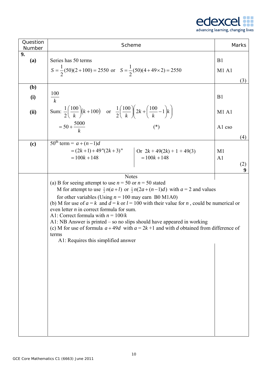

| Question<br>Number | Scheme                                                                                                                                                                                                                                                                                                                                                                                                                                                                                                                                                                                                                                                    | Marks                                               |
|--------------------|-----------------------------------------------------------------------------------------------------------------------------------------------------------------------------------------------------------------------------------------------------------------------------------------------------------------------------------------------------------------------------------------------------------------------------------------------------------------------------------------------------------------------------------------------------------------------------------------------------------------------------------------------------------|-----------------------------------------------------|
| 9.<br>(a)          | Series has 50 terms<br>$S = \frac{1}{2}(50)(2+100) = 2550$ or $S = \frac{1}{2}(50)(4+49\times2) = 2550$                                                                                                                                                                                                                                                                                                                                                                                                                                                                                                                                                   | B1<br>M1A1<br>(3)                                   |
| (b)                |                                                                                                                                                                                                                                                                                                                                                                                                                                                                                                                                                                                                                                                           |                                                     |
| (i)                | 100<br>$\overline{k}$                                                                                                                                                                                                                                                                                                                                                                                                                                                                                                                                                                                                                                     | B <sub>1</sub>                                      |
| (ii)               | Sum: $\frac{1}{2} \left( \frac{100}{k} \right) (k+100)$ or $\frac{1}{2} \left( \frac{100}{k} \right) \left( 2k + \left( \frac{100}{k} - 1 \right) k \right)$                                                                                                                                                                                                                                                                                                                                                                                                                                                                                              | M1A1                                                |
|                    | $=50+\frac{5000}{h}$<br>$(*)$                                                                                                                                                                                                                                                                                                                                                                                                                                                                                                                                                                                                                             | A1 cso                                              |
| (c)                | $50^{\text{th}}$ term = $a + (n-1)d$<br>= $(2k+1) + 49''(2k+3)''$<br>= $100k + 148$<br>$= 100k + 148$<br>$= 100k + 148$                                                                                                                                                                                                                                                                                                                                                                                                                                                                                                                                   | (4)<br>M <sub>1</sub><br>A <sub>1</sub><br>(2)<br>9 |
|                    | <b>Notes</b><br>(a) B for seeing attempt to use $n = 50$ or $n = 50$ stated<br>M for attempt to use $\frac{1}{2}n(a+l)$ or $\frac{1}{2}n(2a+(n-1)d)$ with $a=2$ and values<br>for other variables (Using $n = 100$ may earn B0 M1A0)<br>(b) M for use of $a = k$ and $d = k$ or $l = 100$ with their value for n, could be numerical or<br>even letter $n$ in correct formula for sum.<br>A1: Correct formula with $n = 100/k$<br>A1: NB Answer is printed $-$ so no slips should have appeared in working<br>(c) M for use of formula $a + 49d$ with $a = 2k + 1$ and with d obtained from difference of<br>terms<br>A1: Requires this simplified answer |                                                     |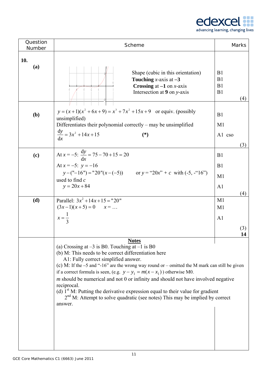

| Question<br>Number | Scheme                                                                                                                                                                                                                                                                                                                                                                                                                                                                                                                                                                                                                                         | <b>Marks</b>                            |
|--------------------|------------------------------------------------------------------------------------------------------------------------------------------------------------------------------------------------------------------------------------------------------------------------------------------------------------------------------------------------------------------------------------------------------------------------------------------------------------------------------------------------------------------------------------------------------------------------------------------------------------------------------------------------|-----------------------------------------|
| 10.<br>(a)         | Shape (cubic in this orientation)<br><b>Touching</b> <i>x</i> -axis at $-3$<br><b>Crossing at <math>-1</math> on x-axis</b><br>Intersection at 9 on y-axis                                                                                                                                                                                                                                                                                                                                                                                                                                                                                     | B <sub>1</sub><br>B1<br>B1<br>B1<br>(4) |
| (b)                | $y = (x+1)(x^2+6x+9) = x^3 + 7x^2 + 15x+9$ or equiv. (possibly<br>unsimplified)<br>Differentiates their polynomial correctly – may be unsimplified<br>$\frac{dy}{dx} = 3x^2 + 14x + 15$<br>$(*)$                                                                                                                                                                                                                                                                                                                                                                                                                                               | B1<br>M1<br>A1 cso<br>(3)               |
| (c)                | At $x = -5$ : $\frac{dy}{dx} = 75 - 70 + 15 = 20$<br>At $x = -5$ : $y = -16$<br>$y - ("16") = "20"(x - (-5))$ or $y = "20x" + c$ with $(-5, -"16")$<br>used to find $c$<br>$y = 20x + 84$                                                                                                                                                                                                                                                                                                                                                                                                                                                      | B1<br>B1<br>M1<br>A <sub>1</sub><br>(4) |
| (d)                | Parallel: $3x^2 + 14x + 15 = 20$ "<br>$(3x-1)(x+5) = 0$ $x = $<br>$x=\frac{1}{3}$                                                                                                                                                                                                                                                                                                                                                                                                                                                                                                                                                              | M1<br>M1<br>A <sub>1</sub><br>(3)<br>14 |
|                    | <b>Notes</b><br>(a) Crossing at $-3$ is B0. Touching at $-1$ is B0<br>(b) M: This needs to be correct differentiation here<br>A1: Fully correct simplified answer.<br>(c) M: If the $-5$ and "-16" are the wrong way round or $-$ omitted the M mark can still be given<br>if a correct formula is seen, (e.g. $y - y_1 = m(x - x_1)$ ) otherwise M0.<br>$m$ should be numerical and not $0$ or infinity and should not have involved negative<br>reciprocal.<br>(d) $1st$ M: Putting the derivative expression equal to their value for gradient<br>$2nd$ M: Attempt to solve quadratic (see notes) This may be implied by correct<br>answer. |                                         |